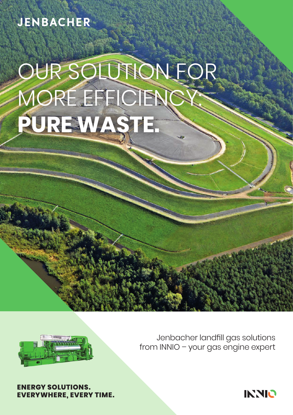### **JENBACHER**

# OUR SOLUTION FOR MORE EFFICIEN **PURE WASTE.**

Jenbacher landfill gas solutions from INNIO – your gas engine expert

**NERGY SOLUTIONS. EVERYWHERE, EVERY TIME.**

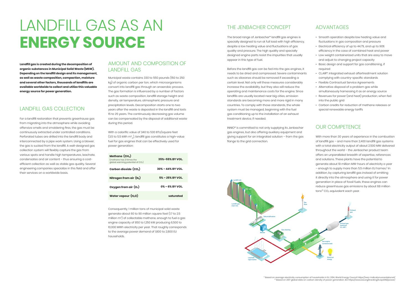#### AMOUNT AND COMPOSITION OF LANDFILL GAS

Municipal waste contains 330 to 550 pounds (150 to 250 kg) of organic carbon per ton, which microorganisms convert into landfill gas through an anaerobic process. The gas formation is influenced by a number of factors such as waste composition, landfill storage height and density, air temperature, atmospheric pressure and precipitation levels. Decomposition starts one to two years after the waste is deposited in the landfill and lasts 15 to 25 years. The continuously decreasing gas volume can be compensated by the disposal of additional waste during this period.

With a calorific value of 340 to 530 BTU/square feet (3,5 to 5,5 kWh m $^{\circ}{}_{\rm N}$ ), landfill gas constitutes a high-value fuel for gas engines that can be effectively used for power generation:

Consequently, 1 million tons of municipal solid waste generate about 60 to 90 million square feet (1.7 to 2.5 million m<sup>3</sup>) of collectable methane, enough to fuel a gas engine capacity of 850 to 1,250 kW producing 6,500 to 10,000 MWh electricity per year. That roughly corresponds to the average power demand of 1,800 to 2,800 EU households.

**Landfill gas is created during the decomposition of organic substances in Municipal Solid Waste (MSW). Depending on the landfill design and its management, as well as waste composition, compaction, moisture and several other factors, thousands of landfills are available worldwide to collect and utilize this valuable energy source for power generation.**

#### LANDFILL GAS COLLECTION

For a landfill restoration that prevents greenhouse gas from migrating into the atmosphere while avoiding offensive smells and smoldering fires, the gas must be continuously extracted under controlled conditions. Perforated tubes are drilled into the landfill body and interconnected by a pipe work system. Using a blower, the gas is sucked from the landfill. A well-designed gas collection system will flexibly capture the gas from various spots and handle high temperatures, leachate, condensates and air content – thus ensuring a costefficient collection as well as stable gas quality. Several engineering companies specialize in this field and offer their services on a worldwide basis.

With more than 30 years of experience in the combustion of landfill gas – and more than 2,400 landfill gas systems with a total electricity output of about 2,500 MW delivered throughout the world – the Jenbacher product team offers an unparalleled breadth of expertise, references and solutions. These plants have the potential to generate about 19 million MW-hours of electricity a year – enough to supply more than 5.5 million EU homes.<sup>1)</sup> In addition, by capturing landfill gas instead of emitting it directly into the atmosphere and using it for power generation in place of fossil fuels, these engines can reduce greenhouse gas emissions by about 68 million  $tons<sup>2</sup> CO<sub>2</sub>$  equivalent each year.

#### THE JENBACHER CONCEPT

The broad range of Jenbacher\* landfill gas engines is specially designed to run at full load with high efficiency, despite a low heating value and fluctuations of gas quality and pressure. The high quality and specially designed engine parts resist the impurities that usually appear in this type of fuel.

Before the landfill gas can be fed into the gas engines, it needs to be dried and compressed. Severe contaminants such as siloxanes should be removed if exceeding a certain level. Not only will these measures considerably increase the availability, but they also will reduce the operating and maintenance costs for the engine. Since landfills are usually located near big cities, emission standards are becoming more and more rigid in many countries. To comply with those standards, the whole system must be managed, beginning with the fuel gas conditioning up to the installation of an exhaust treatment device, if needed.

INNIO\* is committed to not only supplying its Jenbacher gas engines, but also offering auxiliary equipment and giving support for an integrated solution – from the gas flange to the grid connection.

#### ADVANTAGES

- Smooth operation despite low heating value and fluctuations in gas composition and pressure
- Electrical efficiency of up to 44.7%, and up to 90% efficiency in the case of combined heat and power
- Low weight containerized units that are easy to move and adjust to changing project capacity
- Basic design and support for gas conditioning, if required
- CL.AIR\*: Integrated exhaust aftertreatment solution complying with country-specific standards
- Flexible Contractual Service Agreements
- Alternative disposal of a problem aas while simultaneously harnessing it as an energy source
- Revenues for power (and heat) production, when fed into the public grid
- Carbon credits for reduction of methane releases or special renewable energy tariffs

#### OUR COMPETENCE

## LANDFILL GAS AS AN **ENERGY SOURCE**

| Methane $(\text{CH}_4)$<br>(methane has 21 times the<br>global warming potential of $CO2$ ) | 35%-55% BY VOL.       |
|---------------------------------------------------------------------------------------------|-----------------------|
| Carbon dioxide $(\texttt{CO}_2)$                                                            | $30\% - 44\%$ BY VOL. |
| Nitrogen from air $(\mathsf{N}_2)$                                                          | 5% - 25% BY VOL.      |
| Oxygen from air $(\mathsf{O}_{2})$                                                          | 0% - 6% BY VOL.       |
| Water vapour $(H2O)$                                                                        | saturated             |